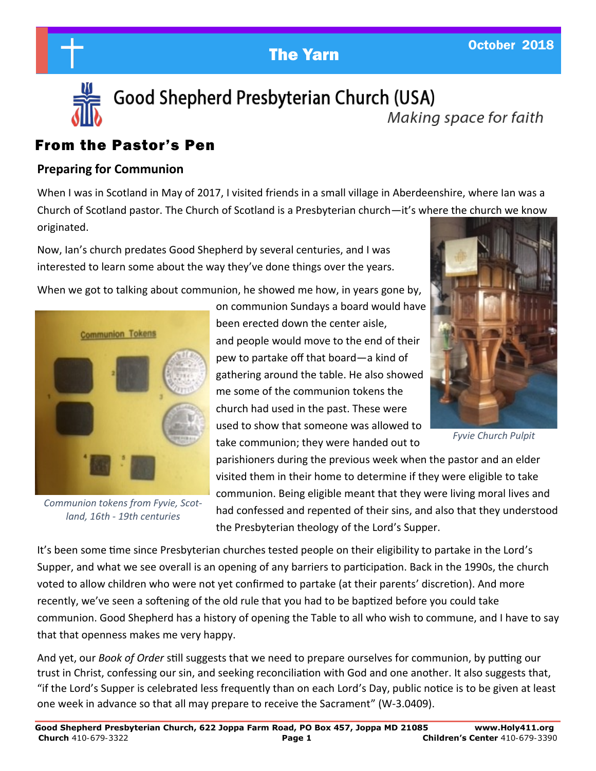# The Yarn Corporation Corporation Corporation Corporation Corporation Corporation Corporation Corporation Corporation Corporation Corporation Corporation Corporation Corporation Corporation Corporation Corporation Corporati



Good Shepherd Presbyterian Church (USA)

# Making space for faith

## From the Pastor's Pen

### **Preparing for Communion**

When I was in Scotland in May of 2017, I visited friends in a small village in Aberdeenshire, where Ian was a Church of Scotland pastor. The Church of Scotland is a Presbyterian church—it's where the church we know originated.

Now, Ian's church predates Good Shepherd by several centuries, and I was interested to learn some about the way they've done things over the years.

When we got to talking about communion, he showed me how, in years gone by,



*Communion tokens from Fyvie, Scotland, 16th - 19th centuries*

on communion Sundays a board would have been erected down the center aisle, and people would move to the end of their pew to partake off that board—a kind of gathering around the table. He also showed me some of the communion tokens the church had used in the past. These were used to show that someone was allowed to take communion; they were handed out to



*Fyvie Church Pulpit*

parishioners during the previous week when the pastor and an elder visited them in their home to determine if they were eligible to take communion. Being eligible meant that they were living moral lives and had confessed and repented of their sins, and also that they understood the Presbyterian theology of the Lord's Supper.

It's been some time since Presbyterian churches tested people on their eligibility to partake in the Lord's Supper, and what we see overall is an opening of any barriers to participation. Back in the 1990s, the church voted to allow children who were not yet confirmed to partake (at their parents' discretion). And more recently, we've seen a softening of the old rule that you had to be baptized before you could take communion. Good Shepherd has a history of opening the Table to all who wish to commune, and I have to say that that openness makes me very happy.

And yet, our *Book of Order* still suggests that we need to prepare ourselves for communion, by putting our trust in Christ, confessing our sin, and seeking reconciliation with God and one another. It also suggests that, "if the Lord's Supper is celebrated less frequently than on each Lord's Day, public notice is to be given at least one week in advance so that all may prepare to receive the Sacrament" (W-3.0409).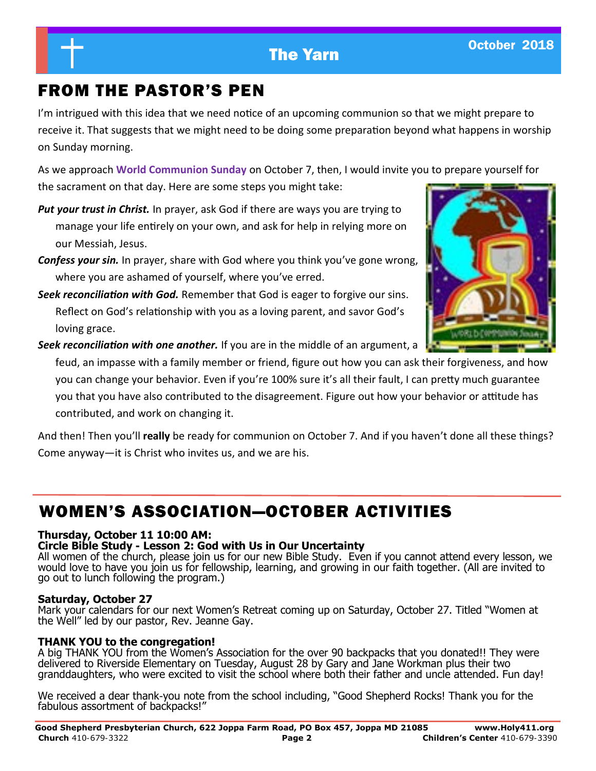# FROM THE PASTOR'S PEN

I'm intrigued with this idea that we need notice of an upcoming communion so that we might prepare to receive it. That suggests that we might need to be doing some preparation beyond what happens in worship on Sunday morning.

As we approach **World Communion Sunday** on October 7, then, I would invite you to prepare yourself for the sacrament on that day. Here are some steps you might take:

- *Put your trust in Christ.* In prayer, ask God if there are ways you are trying to manage your life entirely on your own, and ask for help in relying more on our Messiah, Jesus.
- *Confess your sin.* In prayer, share with God where you think you've gone wrong, where you are ashamed of yourself, where you've erred.
- *Seek reconciliation with God.* Remember that God is eager to forgive our sins. Reflect on God's relationship with you as a loving parent, and savor God's loving grace.

*Seek reconciliation with one another.* If you are in the middle of an argument, a

feud, an impasse with a family member or friend, figure out how you can ask their forgiveness, and how you can change your behavior. Even if you're 100% sure it's all their fault, I can pretty much guarantee you that you have also contributed to the disagreement. Figure out how your behavior or attitude has contributed, and work on changing it.

And then! Then you'll **really** be ready for communion on October 7. And if you haven't done all these things? Come anyway—it is Christ who invites us, and we are his.

# WOMEN'S ASSOCIATION—OCTOBER ACTIVITIES

### **Thursday, October 11 10:00 AM:**

#### **Circle Bible Study - Lesson 2: God with Us in Our Uncertainty**

All women of the church, please join us for our new Bible Study. Even if you cannot attend every lesson, we would love to have you join us for fellowship, learning, and growing in our faith together. (All are invited to go out to lunch following the program.)

#### **Saturday, October 27**

Mark your calendars for our next Women's Retreat coming up on Saturday, October 27. Titled "Women at the Well" led by our pastor, Rev. Jeanne Gay.

#### **THANK YOU to the congregation!**

A big THANK YOU from the Women's Association for the over 90 backpacks that you donated!! They were delivered to Riverside Elementary on Tuesday, August 28 by Gary and Jane Workman plus their two granddaughters, who were excited to visit the school where both their father and uncle attended. Fun day!

We received a dear thank-you note from the school including, "Good Shepherd Rocks! Thank you for the fabulous assortment of backpacks!"

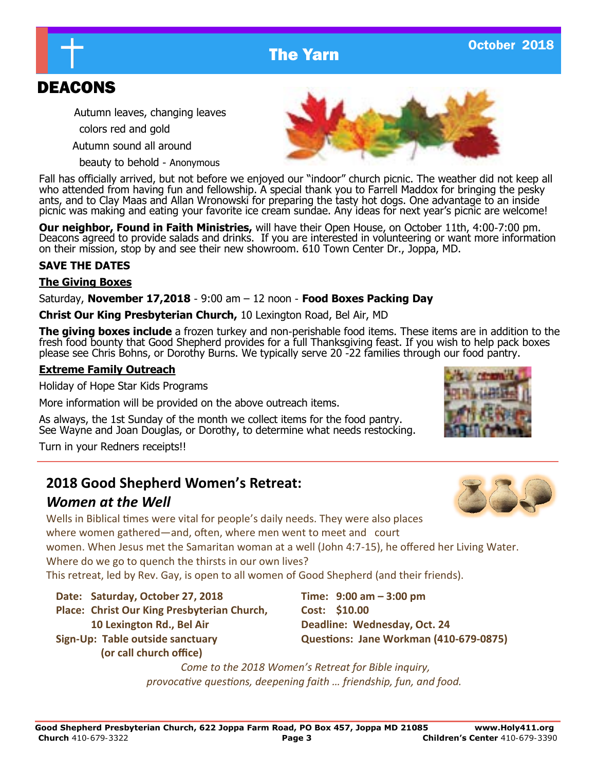# The Yarn Controller Controller 2018

# DEACONS

Autumn leaves, changing leaves

colors red and gold

Autumn sound all around

beauty to behold - Anonymous

Fall has officially arrived, but not before we enjoyed our "indoor" church picnic. The weather did not keep all who attended from having fun and fellowship. A special thank you to Farrell Maddox for bringing the pesky ants, and to Clay Maas and Allan Wronowski for preparing the tasty hot dogs. One advantage to an inside picnic was making and eating your favorite ice cream sundae. Any ideas for next year's picnic are welcome!

**Our neighbor, Found in Faith Ministries,** will have their Open House, on October 11th, 4:00-7:00 pm. Deacons agreed to provide salads and drinks. If you are interested in volunteering or want more information on their mission, stop by and see their new showroom. 610 Town Center Dr., Joppa, MD.

#### **SAVE THE DATES**

### **The Giving Boxes**

Saturday, **November 17,2018** - 9:00 am – 12 noon - **Food Boxes Packing Day**

**Christ Our King Presbyterian Church,** 10 Lexington Road, Bel Air, MD

**The giving boxes include** a frozen turkey and non-perishable food items. These items are in addition to the fresh food bounty that Good Shepherd provides for a full Thanksgiving feast. If you wish to help pack boxes please see Chris Bohns, or Dorothy Burns. We typically serve 20 -22 families through our food pantry.

### **Extreme Family Outreach**

Holiday of Hope Star Kids Programs

More information will be provided on the above outreach items.

As always, the 1st Sunday of the month we collect items for the food pantry. See Wayne and Joan Douglas, or Dorothy, to determine what needs restocking.

Turn in your Redners receipts!!

## **2018 Good Shepherd Women's Retreat:**

## *Women at the Well*

Wells in Biblical times were vital for people's daily needs. They were also places where women gathered—and, often, where men went to meet and court women. When Jesus met the Samaritan woman at a well (John 4:7-15), he offered her Living Water. Where do we go to quench the thirsts in our own lives? This retreat, led by Rev. Gay, is open to all women of Good Shepherd (and their friends).

**Date: Saturday, October 27, 2018 Time: 9:00 am – 3:00 pm**

Place: Christ Our King Presbyterian Church, Cost: \$10.00 **10 Lexington Rd., Bel Air Deadline: Wednesday, Oct. 24**

 **(or call church office)**

**Sign-Up: Table outside sanctuary Questions: Jane Workman (410-679-0875)**

*Come to the 2018 Women's Retreat for Bible inquiry, provocative questions, deepening faith … friendship, fun, and food.*





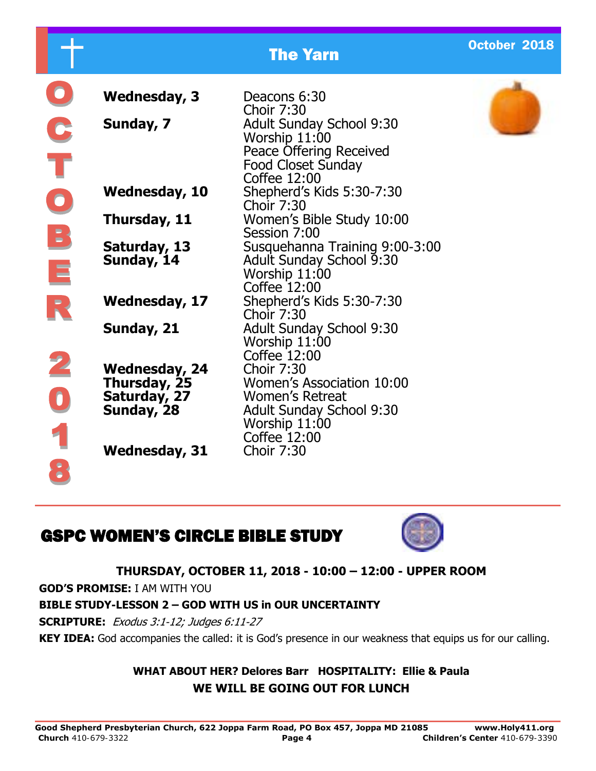|           |                                                                    | <b>The Yarn</b>                                                                                                          | October 2018 |
|-----------|--------------------------------------------------------------------|--------------------------------------------------------------------------------------------------------------------------|--------------|
|           | <b>Wednesday, 3</b>                                                | Deacons 6:30<br><b>Choir 7:30</b>                                                                                        |              |
|           | Sunday, 7                                                          | <b>Adult Sunday School 9:30</b><br>Worship 11:00<br>Peace Offering Received<br><b>Food Closet Sunday</b><br>Coffee 12:00 |              |
| $\bullet$ | <b>Wednesday, 10</b>                                               | Shepherd's Kids 5:30-7:30<br><b>Choir 7:30</b>                                                                           |              |
|           | Thursday, 11                                                       | Women's Bible Study 10:00<br>Session 7:00                                                                                |              |
| B<br>E    | Saturday, 13<br>Sunday, 14                                         | Susquehanna Training 9:00-3:00<br><b>Adult Sunday School 9:30</b><br>Worship 11:00<br>Coffee 12:00                       |              |
|           | <b>Wednesday, 17</b>                                               | Shepherd's Kids 5:30-7:30<br><b>Choir 7:30</b>                                                                           |              |
|           | Sunday, 21                                                         | <b>Adult Sunday School 9:30</b><br>Worship 11:00<br>Coffee 12:00                                                         |              |
|           | <b>Wednesday, 24</b><br>Thursday, 25<br>Saturday, 27<br>Sunday, 28 | <b>Choir 7:30</b><br>Women's Association 10:00<br><b>Women's Retreat</b><br><b>Adult Sunday School 9:30</b>              |              |
|           | <b>Wednesday, 31</b>                                               | Worship 11:00<br>Coffee 12:00<br><b>Choir 7:30</b>                                                                       |              |

# GSPC WOMEN'S CIRCLE BIBLE STUDY



## **THURSDAY, OCTOBER 11, 2018 - 10:00 – 12:00 - UPPER ROOM**

**GOD'S PROMISE:** I AM WITH YOU

 $\bullet$ 

## **BIBLE STUDY-LESSON 2 – GOD WITH US in OUR UNCERTAINTY**

**SCRIPTURE:** Exodus 3:1-12; Judges 6:11-27

**KEY IDEA:** God accompanies the called: it is God's presence in our weakness that equips us for our calling.

## **WHAT ABOUT HER? Delores Barr HOSPITALITY: Ellie & Paula WE WILL BE GOING OUT FOR LUNCH**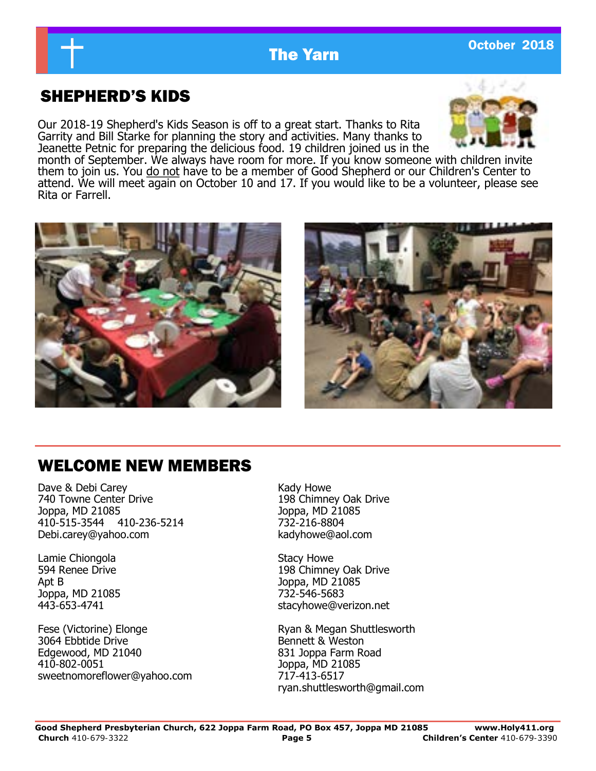

# SHEPHERD'S KIDS

Our 2018-19 Shepherd's Kids Season is off to a great start. Thanks to Rita Garrity and Bill Starke for planning the story and activities. Many thanks to Jeanette Petnic for preparing the delicious food. 19 children joined us in the



month of September. We always have room for more. If you know someone with children invite them to join us. You do not have to be a member of Good Shepherd or our Children's Center to attend. We will meet again on October 10 and 17. If you would like to be a volunteer, please see Rita or Farrell.





## WELCOME NEW MEMBERS

Dave & Debi Carey 740 Towne Center Drive Joppa, MD 21085 410-515-3544 410-236-5214 Debi.carey@yahoo.com

Lamie Chiongola 594 Renee Drive Apt B Joppa, MD 21085 443-653-4741

Fese (Victorine) Elonge 3064 Ebbtide Drive Edgewood, MD 21040 410-802-0051 sweetnomoreflower@yahoo.com Kady Howe 198 Chimney Oak Drive Joppa, MD 21085 732-216-8804 kadyhowe@aol.com

Stacy Howe 198 Chimney Oak Drive Joppa, MD 21085 732-546-5683 stacyhowe@verizon.net

Ryan & Megan Shuttlesworth Bennett & Weston 831 Joppa Farm Road Joppa, MD 21085 717-413-6517 ryan.shuttlesworth@gmail.com